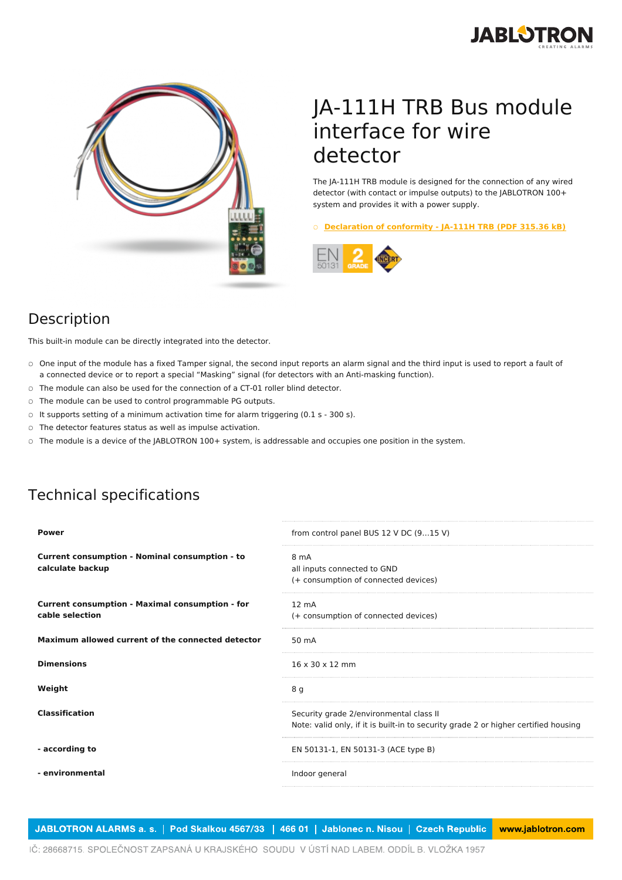



## JA-111H TRB Bus module interface for wire detector

The JA-111H TRB module is designed for the connection of any wired detector (with contact or impulse outputs) to the JABLOTRON 100+ system and provides it with a power supply.

○ **[Declaration](https://www.jablotron.com/en/template/product/601/?file=0&jt_id=21010&hash=e5KerE&do=downloadCertificate) of conformity - JA-111H TRB (PDF 315.36 kB)**



## Description

This built-in module can be directly integrated into the detector.

- $\circ$  One input of the module has a fixed Tamper signal, the second input reports an alarm signal and the third input is used to report a fault of a connected device or to report a special "Masking" signal (for detectors with an Anti-masking function).
- The module can also be used for the connection of a CT-01 roller blind detector.
- The module can be used to control programmable PG outputs.
- It supports setting of a minimum activation time for alarm triggering (0.1 s 300 s).
- The detector features status as well as impulse activation.
- The module is a device of the JABLOTRON 100+ system, is addressable and occupies one position in the system.

## Technical specifications

| <b>Power</b>                                                              | from control panel BUS 12 V DC (915 V)                                                                                         |
|---------------------------------------------------------------------------|--------------------------------------------------------------------------------------------------------------------------------|
| <b>Current consumption - Nominal consumption - to</b><br>calculate backup | 8 mA<br>all inputs connected to GND<br>(+ consumption of connected devices)                                                    |
| <b>Current consumption - Maximal consumption - for</b><br>cable selection | $12 \text{ mA}$<br>(+ consumption of connected devices)                                                                        |
| Maximum allowed current of the connected detector                         | 50 mA                                                                                                                          |
| <b>Dimensions</b>                                                         | $16 \times 30 \times 12$ mm                                                                                                    |
| Weight                                                                    | 8 g                                                                                                                            |
| <b>Classification</b>                                                     | Security grade 2/environmental class II<br>Note: valid only, if it is built-in to security grade 2 or higher certified housing |
| - according to                                                            | EN 50131-1, EN 50131-3 (ACE type B)                                                                                            |
| - environmental                                                           | Indoor general                                                                                                                 |
|                                                                           |                                                                                                                                |

JABLOTRON ALARMS a. s. | Pod Skalkou 4567/33 | 466 01 | Jablonec n. Nisou | Czech Republic www.jablotron.com

IČ: 28668715. SPOLEČNOST ZAPSANÁ U KRAJSKÉHO SOUDU V ÚSTÍ NAD LABEM. ODDÍL B. VLOŽKA 1957